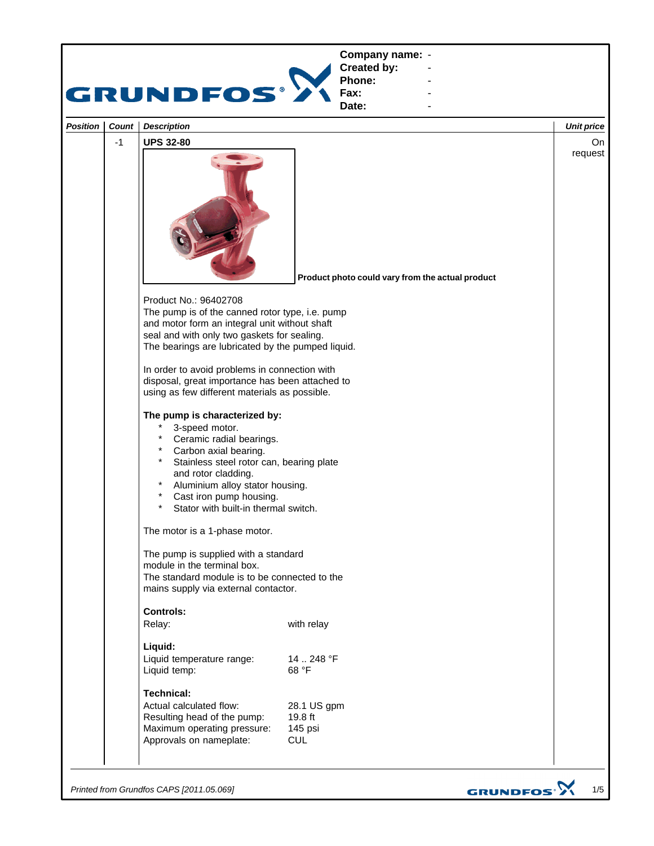

*Printed from Grundfos CAPS [2011.05.069]*

GRUNDFOS<sup>.</sup>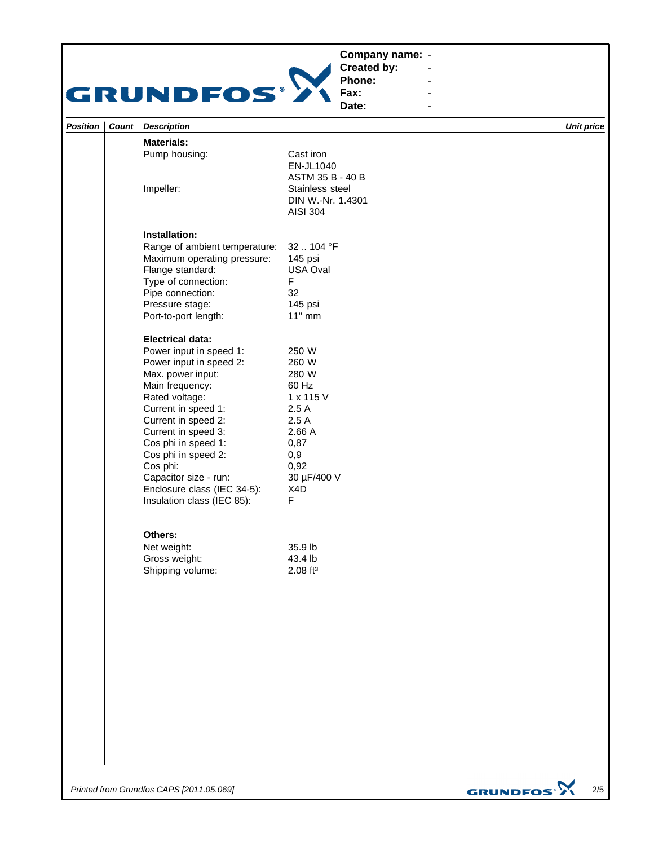## **Company name: -** Construction of the construction



**Created by: Phone: Fax:**

**Date: -** Andrea Maria Maria Maria Maria **-** Construction of the construction

**-** Andrea Maria Maria Maria Maria **-** Andrea Maria Maria Maria Maria

| Cast iron<br>EN-JL1040<br>ASTM 35 B - 40 B<br>Stainless steel<br>DIN W.-Nr. 1.4301<br><b>AISI 304</b>                     |                                         |
|---------------------------------------------------------------------------------------------------------------------------|-----------------------------------------|
| 32104 °F<br>145 psi<br>USA Oval<br>F<br>32<br>145 psi                                                                     |                                         |
| 250 W<br>260 W<br>280 W<br>60 Hz<br>1 x 115 V<br>2.5A<br>2.5A<br>2.66 A<br>0,87<br>0,9<br>0,92<br>30 µF/400 V<br>X4D<br>F |                                         |
| 35.9 lb<br>43.4 lb<br>$2.08$ ft <sup>3</sup>                                                                              |                                         |
|                                                                                                                           |                                         |
|                                                                                                                           | Range of ambient temperature:<br>11" mm |

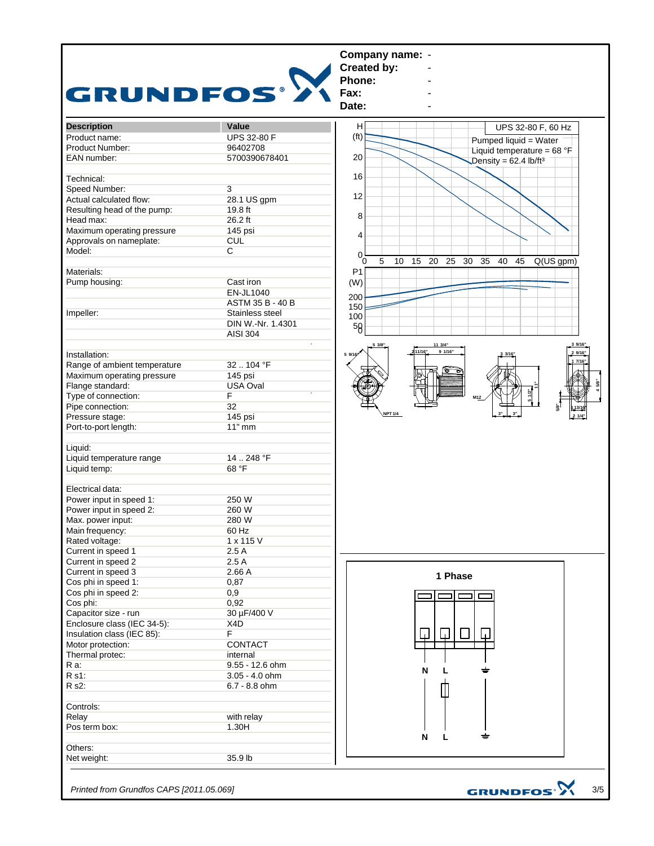

*Printed from Grundfos CAPS [2011.05.069]*

3/5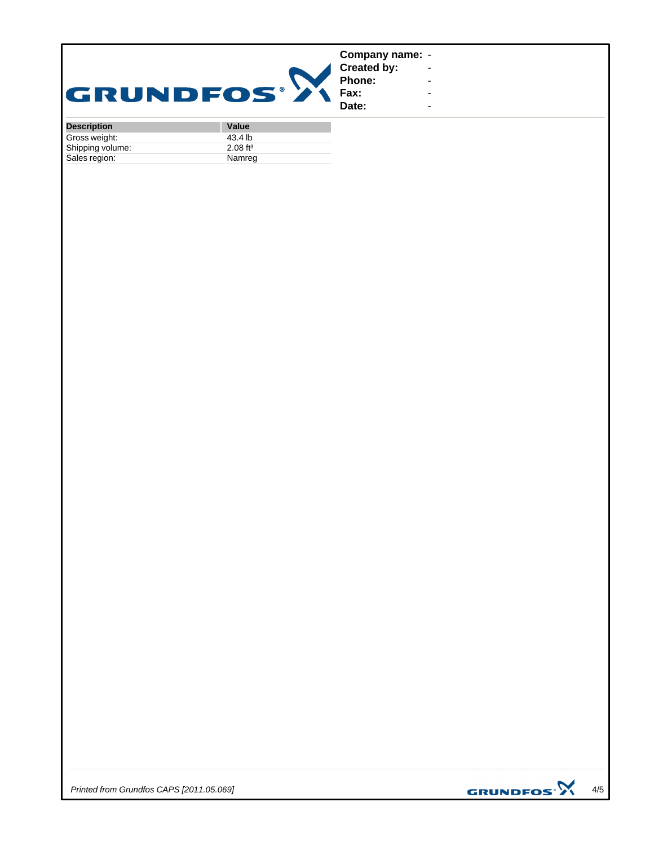| <b>GRUNDFOS®</b>   |       | Company name: -<br><b>Created by:</b><br>Phone:<br>Fax:<br>Date: | $\overline{\phantom{a}}$<br>$\overline{\phantom{0}}$<br>$\overline{\phantom{a}}$<br>$\overline{\phantom{a}}$ |
|--------------------|-------|------------------------------------------------------------------|--------------------------------------------------------------------------------------------------------------|
| <b>Description</b> | Value |                                                                  |                                                                                                              |

| <b>Description</b> | value                  |
|--------------------|------------------------|
| Gross weight:      | 43.4 lb                |
| Shipping volume:   | $2.08$ ft <sup>3</sup> |
| Sales region:      | Namreg                 |

*Printed from Grundfos CAPS [2011.05.069]*